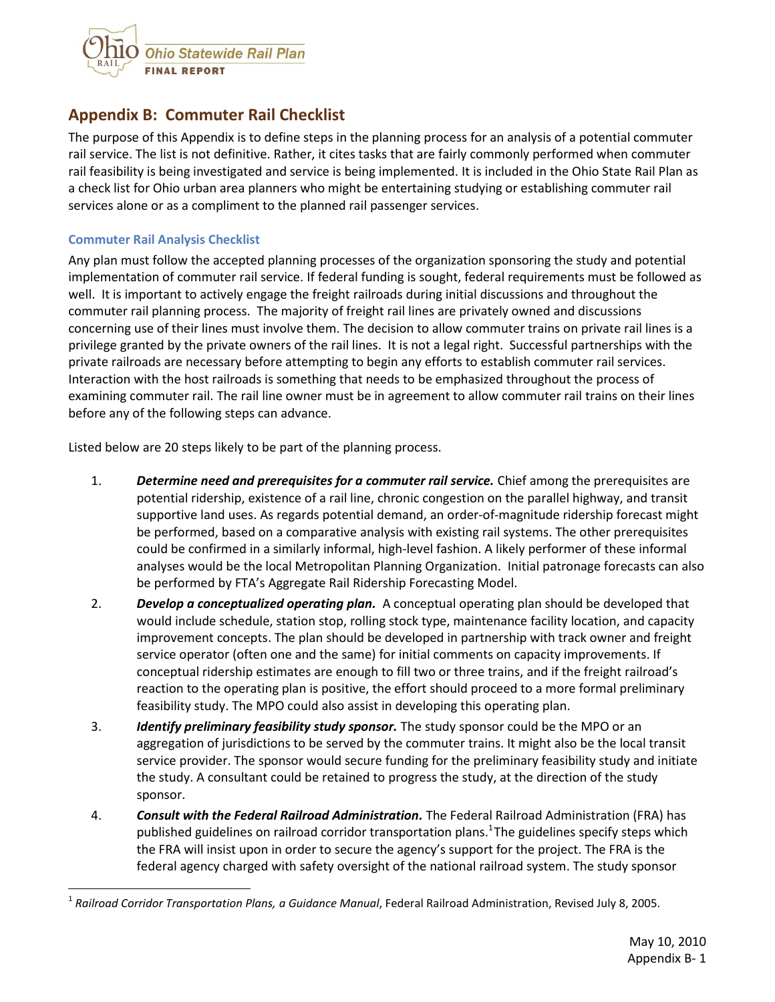

## **Appendix B: Commuter Rail Checklist**

The purpose of this Appendix is to define steps in the planning process for an analysis of a potential commuter rail service. The list is not definitive. Rather, it cites tasks that are fairly commonly performed when commuter rail feasibility is being investigated and service is being implemented. It is included in the Ohio State Rail Plan as a check list for Ohio urban area planners who might be entertaining studying or establishing commuter rail services alone or as a compliment to the planned rail passenger services.

## **Commuter Rail Analysis Checklist**

 $\overline{\phantom{a}}$ 

Any plan must follow the accepted planning processes of the organization sponsoring the study and potential implementation of commuter rail service. If federal funding is sought, federal requirements must be followed as well. It is important to actively engage the freight railroads during initial discussions and throughout the commuter rail planning process. The majority of freight rail lines are privately owned and discussions concerning use of their lines must involve them. The decision to allow commuter trains on private rail lines is a privilege granted by the private owners of the rail lines. It is not a legal right. Successful partnerships with the private railroads are necessary before attempting to begin any efforts to establish commuter rail services. Interaction with the host railroads is something that needs to be emphasized throughout the process of examining commuter rail. The rail line owner must be in agreement to allow commuter rail trains on their lines before any of the following steps can advance.

Listed below are 20 steps likely to be part of the planning process.

- 1. *Determine need and prerequisites for a commuter rail service.* Chief among the prerequisites are potential ridership, existence of a rail line, chronic congestion on the parallel highway, and transit supportive land uses. As regards potential demand, an order-of-magnitude ridership forecast might be performed, based on a comparative analysis with existing rail systems. The other prerequisites could be confirmed in a similarly informal, high-level fashion. A likely performer of these informal analyses would be the local Metropolitan Planning Organization. Initial patronage forecasts can also be performed by FTA's Aggregate Rail Ridership Forecasting Model.
- 2. *Develop a conceptualized operating plan.* A conceptual operating plan should be developed that would include schedule, station stop, rolling stock type, maintenance facility location, and capacity improvement concepts. The plan should be developed in partnership with track owner and freight service operator (often one and the same) for initial comments on capacity improvements. If conceptual ridership estimates are enough to fill two or three trains, and if the freight railroad's reaction to the operating plan is positive, the effort should proceed to a more formal preliminary feasibility study. The MPO could also assist in developing this operating plan.
- 3. *Identify preliminary feasibility study sponsor.* The study sponsor could be the MPO or an aggregation of jurisdictions to be served by the commuter trains. It might also be the local transit service provider. The sponsor would secure funding for the preliminary feasibility study and initiate the study. A consultant could be retained to progress the study, at the direction of the study sponsor.
- 4. *Consult with the Federal Railroad Administration.* The Federal Railroad Administration (FRA) has published guidelines on railroad corridor transportation plans.<sup>1</sup>The guidelines specify steps which the FRA will insist upon in order to secure the agency's support for the project. The FRA is the federal agency charged with safety oversight of the national railroad system. The study sponsor

<sup>1</sup> *Railroad Corridor Transportation Plans, a Guidance Manual*, Federal Railroad Administration, Revised July 8, 2005.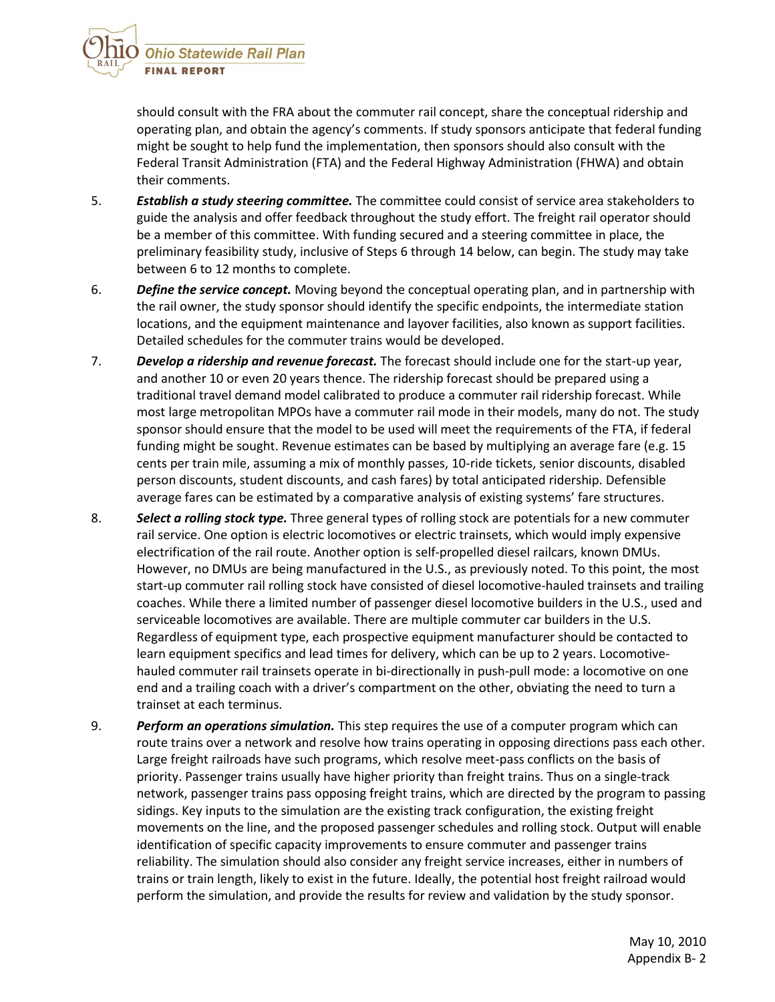

should consult with the FRA about the commuter rail concept, share the conceptual ridership and operating plan, and obtain the agency's comments. If study sponsors anticipate that federal funding might be sought to help fund the implementation, then sponsors should also consult with the Federal Transit Administration (FTA) and the Federal Highway Administration (FHWA) and obtain their comments.

- 5. *Establish a study steering committee.* The committee could consist of service area stakeholders to guide the analysis and offer feedback throughout the study effort. The freight rail operator should be a member of this committee. With funding secured and a steering committee in place, the preliminary feasibility study, inclusive of Steps 6 through 14 below, can begin. The study may take between 6 to 12 months to complete.
- 6. *Define the service concept.* Moving beyond the conceptual operating plan, and in partnership with the rail owner, the study sponsor should identify the specific endpoints, the intermediate station locations, and the equipment maintenance and layover facilities, also known as support facilities. Detailed schedules for the commuter trains would be developed.
- 7. *Develop a ridership and revenue forecast.* The forecast should include one for the start-up year, and another 10 or even 20 years thence. The ridership forecast should be prepared using a traditional travel demand model calibrated to produce a commuter rail ridership forecast. While most large metropolitan MPOs have a commuter rail mode in their models, many do not. The study sponsor should ensure that the model to be used will meet the requirements of the FTA, if federal funding might be sought. Revenue estimates can be based by multiplying an average fare (e.g. 15 cents per train mile, assuming a mix of monthly passes, 10-ride tickets, senior discounts, disabled person discounts, student discounts, and cash fares) by total anticipated ridership. Defensible average fares can be estimated by a comparative analysis of existing systems' fare structures.
- 8. *Select a rolling stock type.* Three general types of rolling stock are potentials for a new commuter rail service. One option is electric locomotives or electric trainsets, which would imply expensive electrification of the rail route. Another option is self-propelled diesel railcars, known DMUs. However, no DMUs are being manufactured in the U.S., as previously noted. To this point, the most start-up commuter rail rolling stock have consisted of diesel locomotive-hauled trainsets and trailing coaches. While there a limited number of passenger diesel locomotive builders in the U.S., used and serviceable locomotives are available. There are multiple commuter car builders in the U.S. Regardless of equipment type, each prospective equipment manufacturer should be contacted to learn equipment specifics and lead times for delivery, which can be up to 2 years. Locomotivehauled commuter rail trainsets operate in bi-directionally in push-pull mode: a locomotive on one end and a trailing coach with a driver's compartment on the other, obviating the need to turn a trainset at each terminus.
- 9. *Perform an operations simulation.* This step requires the use of a computer program which can route trains over a network and resolve how trains operating in opposing directions pass each other. Large freight railroads have such programs, which resolve meet-pass conflicts on the basis of priority. Passenger trains usually have higher priority than freight trains. Thus on a single-track network, passenger trains pass opposing freight trains, which are directed by the program to passing sidings. Key inputs to the simulation are the existing track configuration, the existing freight movements on the line, and the proposed passenger schedules and rolling stock. Output will enable identification of specific capacity improvements to ensure commuter and passenger trains reliability. The simulation should also consider any freight service increases, either in numbers of trains or train length, likely to exist in the future. Ideally, the potential host freight railroad would perform the simulation, and provide the results for review and validation by the study sponsor.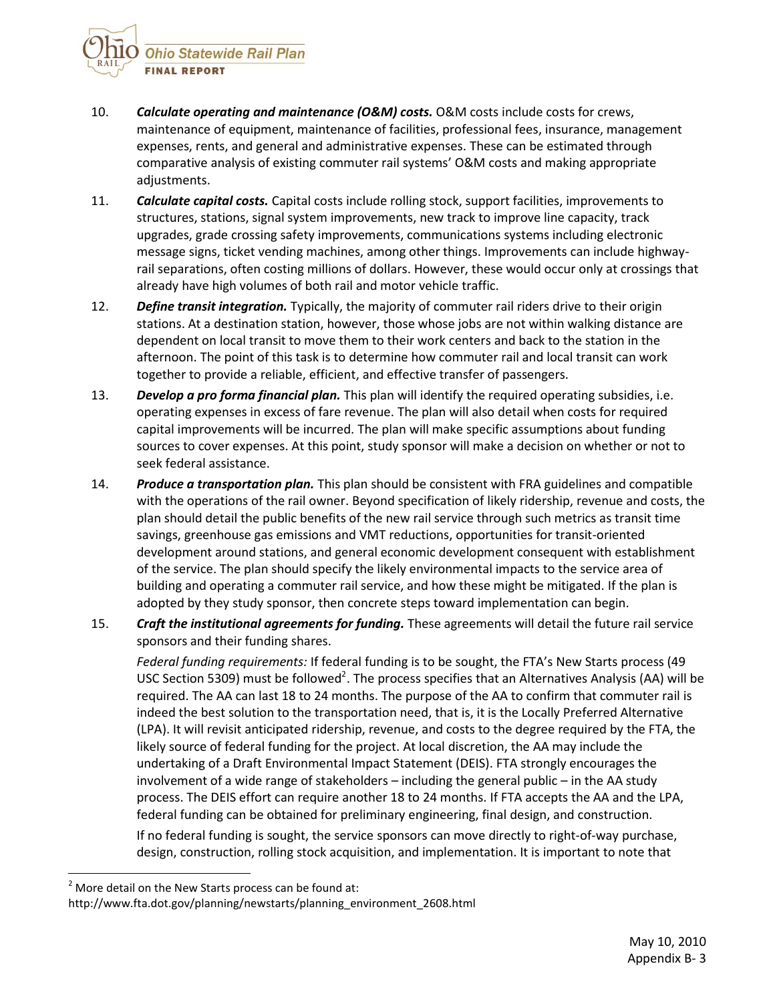Ohio Statewide Rail Plan **FINAL REPORT** 

- 10. *Calculate operating and maintenance (O&M) costs.* O&M costs include costs for crews, maintenance of equipment, maintenance of facilities, professional fees, insurance, management expenses, rents, and general and administrative expenses. These can be estimated through comparative analysis of existing commuter rail systems' O&M costs and making appropriate adjustments.
- 11. *Calculate capital costs.* Capital costs include rolling stock, support facilities, improvements to structures, stations, signal system improvements, new track to improve line capacity, track upgrades, grade crossing safety improvements, communications systems including electronic message signs, ticket vending machines, among other things. Improvements can include highwayrail separations, often costing millions of dollars. However, these would occur only at crossings that already have high volumes of both rail and motor vehicle traffic.
- 12. *Define transit integration.* Typically, the majority of commuter rail riders drive to their origin stations. At a destination station, however, those whose jobs are not within walking distance are dependent on local transit to move them to their work centers and back to the station in the afternoon. The point of this task is to determine how commuter rail and local transit can work together to provide a reliable, efficient, and effective transfer of passengers.
- 13. *Develop a pro forma financial plan.* This plan will identify the required operating subsidies, i.e. operating expenses in excess of fare revenue. The plan will also detail when costs for required capital improvements will be incurred. The plan will make specific assumptions about funding sources to cover expenses. At this point, study sponsor will make a decision on whether or not to seek federal assistance.
- 14. *Produce a transportation plan.* This plan should be consistent with FRA guidelines and compatible with the operations of the rail owner. Beyond specification of likely ridership, revenue and costs, the plan should detail the public benefits of the new rail service through such metrics as transit time savings, greenhouse gas emissions and VMT reductions, opportunities for transit-oriented development around stations, and general economic development consequent with establishment of the service. The plan should specify the likely environmental impacts to the service area of building and operating a commuter rail service, and how these might be mitigated. If the plan is adopted by they study sponsor, then concrete steps toward implementation can begin.
- 15. *Craft the institutional agreements for funding.* These agreements will detail the future rail service sponsors and their funding shares.

*Federal funding requirements:* If federal funding is to be sought, the FTA's New Starts process (49 USC Section 5309) must be followed<sup>2</sup>. The process specifies that an Alternatives Analysis (AA) will be required. The AA can last 18 to 24 months. The purpose of the AA to confirm that commuter rail is indeed the best solution to the transportation need, that is, it is the Locally Preferred Alternative (LPA). It will revisit anticipated ridership, revenue, and costs to the degree required by the FTA, the likely source of federal funding for the project. At local discretion, the AA may include the undertaking of a Draft Environmental Impact Statement (DEIS). FTA strongly encourages the involvement of a wide range of stakeholders – including the general public – in the AA study process. The DEIS effort can require another 18 to 24 months. If FTA accepts the AA and the LPA, federal funding can be obtained for preliminary engineering, final design, and construction.

If no federal funding is sought, the service sponsors can move directly to right-of-way purchase, design, construction, rolling stock acquisition, and implementation. It is important to note that

l

 $2$  More detail on the New Starts process can be found at:

http://www.fta.dot.gov/planning/newstarts/planning\_environment\_2608.html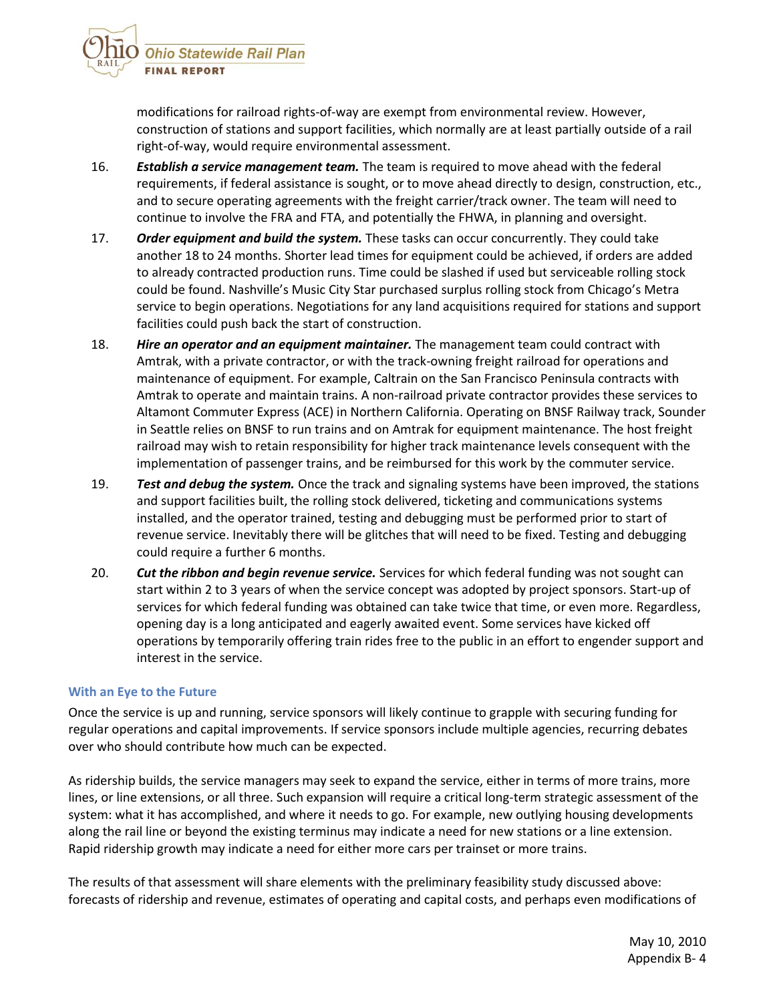

modifications for railroad rights-of-way are exempt from environmental review. However, construction of stations and support facilities, which normally are at least partially outside of a rail right-of-way, would require environmental assessment.

- 16. *Establish a service management team.* The team is required to move ahead with the federal requirements, if federal assistance is sought, or to move ahead directly to design, construction, etc., and to secure operating agreements with the freight carrier/track owner. The team will need to continue to involve the FRA and FTA, and potentially the FHWA, in planning and oversight.
- 17. *Order equipment and build the system.* These tasks can occur concurrently. They could take another 18 to 24 months. Shorter lead times for equipment could be achieved, if orders are added to already contracted production runs. Time could be slashed if used but serviceable rolling stock could be found. Nashville's Music City Star purchased surplus rolling stock from Chicago's Metra service to begin operations. Negotiations for any land acquisitions required for stations and support facilities could push back the start of construction.
- 18. *Hire an operator and an equipment maintainer.* The management team could contract with Amtrak, with a private contractor, or with the track-owning freight railroad for operations and maintenance of equipment. For example, Caltrain on the San Francisco Peninsula contracts with Amtrak to operate and maintain trains. A non-railroad private contractor provides these services to Altamont Commuter Express (ACE) in Northern California. Operating on BNSF Railway track, Sounder in Seattle relies on BNSF to run trains and on Amtrak for equipment maintenance. The host freight railroad may wish to retain responsibility for higher track maintenance levels consequent with the implementation of passenger trains, and be reimbursed for this work by the commuter service.
- 19. *Test and debug the system.* Once the track and signaling systems have been improved, the stations and support facilities built, the rolling stock delivered, ticketing and communications systems installed, and the operator trained, testing and debugging must be performed prior to start of revenue service. Inevitably there will be glitches that will need to be fixed. Testing and debugging could require a further 6 months.
- 20. *Cut the ribbon and begin revenue service.* Services for which federal funding was not sought can start within 2 to 3 years of when the service concept was adopted by project sponsors. Start-up of services for which federal funding was obtained can take twice that time, or even more. Regardless, opening day is a long anticipated and eagerly awaited event. Some services have kicked off operations by temporarily offering train rides free to the public in an effort to engender support and interest in the service.

## **With an Eye to the Future**

Once the service is up and running, service sponsors will likely continue to grapple with securing funding for regular operations and capital improvements. If service sponsors include multiple agencies, recurring debates over who should contribute how much can be expected.

As ridership builds, the service managers may seek to expand the service, either in terms of more trains, more lines, or line extensions, or all three. Such expansion will require a critical long-term strategic assessment of the system: what it has accomplished, and where it needs to go. For example, new outlying housing developments along the rail line or beyond the existing terminus may indicate a need for new stations or a line extension. Rapid ridership growth may indicate a need for either more cars per trainset or more trains.

The results of that assessment will share elements with the preliminary feasibility study discussed above: forecasts of ridership and revenue, estimates of operating and capital costs, and perhaps even modifications of